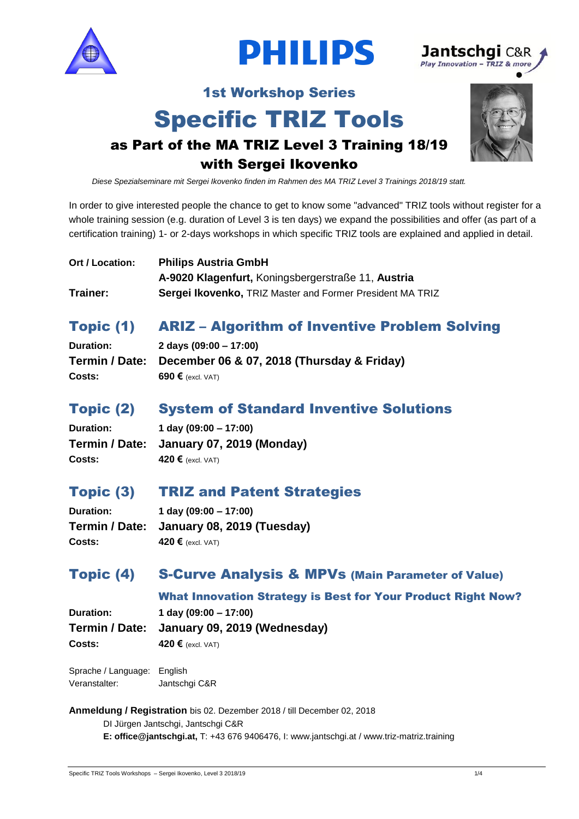





## 1st Workshop Series

## Specific TRIZ Tools



## as Part of the MA TRIZ Level 3 Training 18/19 with Sergei Ikovenko

*Diese Spezialseminare mit Sergei Ikovenko finden im Rahmen des MA TRIZ Level 3 Trainings 2018/19 statt.* 

In order to give interested people the chance to get to know some "advanced" TRIZ tools without register for a whole training session (e.g. duration of Level 3 is ten days) we expand the possibilities and offer (as part of a certification training) 1- or 2-days workshops in which specific TRIZ tools are explained and applied in detail.

| Ort / Location: | <b>Philips Austria GmbH</b>                               |
|-----------------|-----------------------------------------------------------|
|                 | A-9020 Klagenfurt, Koningsbergerstraße 11, Austria        |
| Trainer:        | Sergei Ikovenko, TRIZ Master and Former President MA TRIZ |

## Topic (1) ARIZ – Algorithm of Inventive Problem Solving

| <b>Duration:</b> | 2 days $(09:00 - 17:00)$                                  |
|------------------|-----------------------------------------------------------|
|                  | Termin / Date: December 06 & 07, 2018 (Thursday & Friday) |
| Costs:           | 690 $\epsilon$ (excl. VAT)                                |

## Topic (2) System of Standard Inventive Solutions

| <b>Duration:</b> | 1 day $(09:00 - 17:00)$                  |
|------------------|------------------------------------------|
|                  | Termin / Date: January 07, 2019 (Monday) |
| Costs:           | 420 $\epsilon$ (excl. VAT)               |

## Topic (3) TRIZ and Patent Strategies

**Duration: 1 day (09:00 – 17:00) Costs: 420 €** (excl. VAT)

# **Termin / Date: January 08, 2019 (Tuesday)**

## Topic (4) S-Curve Analysis & MPVs (Main Parameter of Value)

#### What Innovation Strategy is Best for Your Product Right Now?

**Duration: 1 day (09:00 – 17:00) Termin / Date: January 09, 2019 (Wednesday) Costs: 420 €** (excl. VAT)

| Sprache / Language: | English       |
|---------------------|---------------|
| Veranstalter:       | Jantschgi C&R |

**Anmeldung / Registration** bis 02. Dezember 2018 / till December 02, 2018

DI Jürgen Jantschgi, Jantschgi C&R **E: office@jantschgi.at,** T: +43 676 9406476, I: www.jantschgi.at / www.triz-matriz.training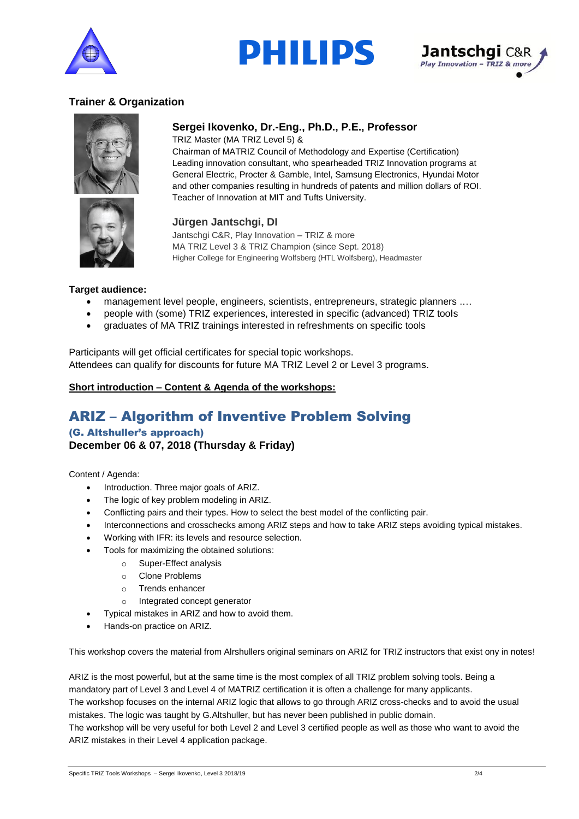



**Sergei Ikovenko, Dr.-Eng., Ph.D., P.E., Professor**



#### **Trainer & Organization**



TRIZ Master (MA TRIZ Level 5) & Chairman of MATRIZ Council of Methodology and Expertise (Certification) Leading innovation consultant, who spearheaded TRIZ Innovation programs at General Electric, Procter & Gamble, Intel, Samsung Electronics, Hyundai Motor and other companies resulting in hundreds of patents and million dollars of ROI.

#### **Jürgen Jantschgi, DI**

Jantschgi C&R, Play Innovation – TRIZ & more MA TRIZ Level 3 & TRIZ Champion (since Sept. 2018) Higher College for Engineering Wolfsberg (HTL Wolfsberg), Headmaster

#### **Target audience:**

- management level people, engineers, scientists, entrepreneurs, strategic planners ....
- people with (some) TRIZ experiences, interested in specific (advanced) TRIZ tools

Teacher of Innovation at MIT and Tufts University.

• graduates of MA TRIZ trainings interested in refreshments on specific tools

Participants will get official certificates for special topic workshops. Attendees can qualify for discounts for future MA TRIZ Level 2 or Level 3 programs.

#### **Short introduction – Content & Agenda of the workshops:**

## ARIZ – Algorithm of Inventive Problem Solving

#### (G. Altshuller's approach) **December 06 & 07, 2018 (Thursday & Friday)**

Content / Agenda:

- Introduction. Three major goals of ARIZ.
- The logic of key problem modeling in ARIZ.
- Conflicting pairs and their types. How to select the best model of the conflicting pair.
- Interconnections and crosschecks among ARIZ steps and how to take ARIZ steps avoiding typical mistakes.
- Working with IFR: its levels and resource selection.
- Tools for maximizing the obtained solutions:
	- o Super-Effect analysis
	- o Clone Problems
	- o Trends enhancer
	- o Integrated concept generator
- Typical mistakes in ARIZ and how to avoid them.
- Hands-on practice on ARIZ.

This workshop covers the material from Alrshullers original seminars on ARIZ for TRIZ instructors that exist ony in notes!

ARIZ is the most powerful, but at the same time is the most complex of all TRIZ problem solving tools. Being a mandatory part of Level 3 and Level 4 of MATRIZ certification it is often a challenge for many applicants. The workshop focuses on the internal ARIZ logic that allows to go through ARIZ cross-checks and to avoid the usual mistakes. The logic was taught by G.Altshuller, but has never been published in public domain.

The workshop will be very useful for both Level 2 and Level 3 certified people as well as those who want to avoid the ARIZ mistakes in their Level 4 application package.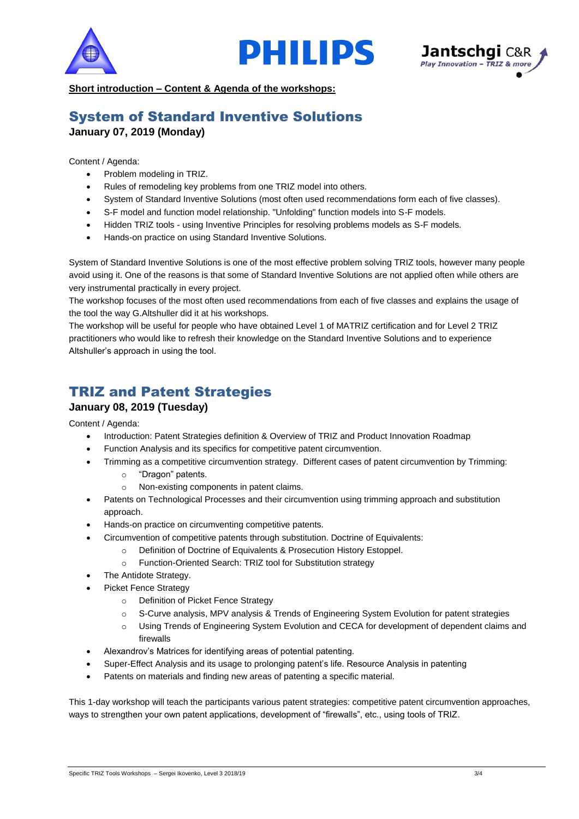





**Short introduction – Content & Agenda of the workshops:** 

### System of Standard Inventive Solutions **January 07, 2019 (Monday)**

Content / Agenda:

- Problem modeling in TRIZ.
- Rules of remodeling key problems from one TRIZ model into others.
- System of Standard Inventive Solutions (most often used recommendations form each of five classes).
- S-F model and function model relationship. "Unfolding" function models into S-F models.
- Hidden TRIZ tools using Inventive Principles for resolving problems models as S-F models.
- Hands-on practice on using Standard Inventive Solutions.

System of Standard Inventive Solutions is one of the most effective problem solving TRIZ tools, however many people avoid using it. One of the reasons is that some of Standard Inventive Solutions are not applied often while others are very instrumental practically in every project.

The workshop focuses of the most often used recommendations from each of five classes and explains the usage of the tool the way G.Altshuller did it at his workshops.

The workshop will be useful for people who have obtained Level 1 of MATRIZ certification and for Level 2 TRIZ practitioners who would like to refresh their knowledge on the Standard Inventive Solutions and to experience Altshuller's approach in using the tool.

## TRIZ and Patent Strategies

#### **January 08, 2019 (Tuesday)**

Content / Agenda:

- Introduction: Patent Strategies definition & Overview of TRIZ and Product Innovation Roadmap
- Function Analysis and its specifics for competitive patent circumvention.
- Trimming as a competitive circumvention strategy. Different cases of patent circumvention by Trimming:
	- o "Dragon" patents.
	- o Non-existing components in patent claims.
- Patents on Technological Processes and their circumvention using trimming approach and substitution approach.
- Hands-on practice on circumventing competitive patents.
- Circumvention of competitive patents through substitution. Doctrine of Equivalents:
	- o Definition of Doctrine of Equivalents & Prosecution History Estoppel.
	- o Function-Oriented Search: TRIZ tool for Substitution strategy
- The Antidote Strategy.
- Picket Fence Strategy
	- o Definition of Picket Fence Strategy
	- o S-Curve analysis, MPV analysis & Trends of Engineering System Evolution for patent strategies
	- o Using Trends of Engineering System Evolution and CECA for development of dependent claims and firewalls
- Alexandrov's Matrices for identifying areas of potential patenting.
- Super-Effect Analysis and its usage to prolonging patent's life. Resource Analysis in patenting
- Patents on materials and finding new areas of patenting a specific material.

This 1-day workshop will teach the participants various patent strategies: competitive patent circumvention approaches, ways to strengthen your own patent applications, development of "firewalls", etc., using tools of TRIZ.